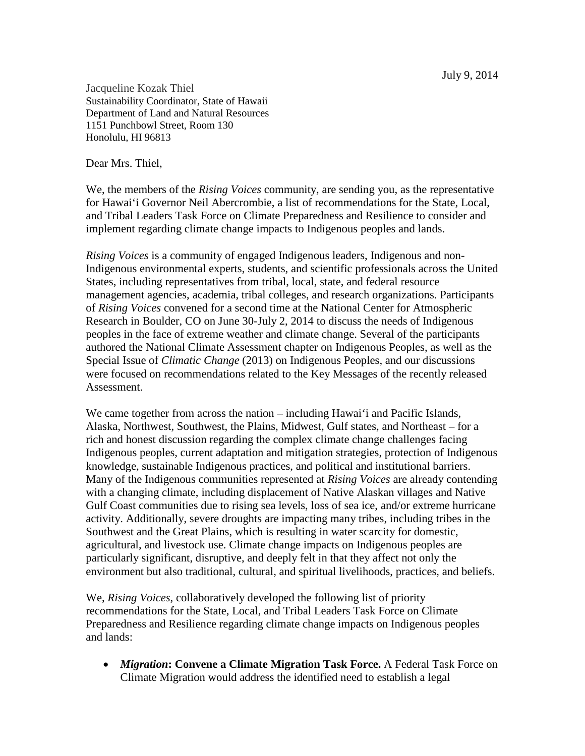July 9, 2014

Jacqueline Kozak Thiel Sustainability Coordinator, State of Hawaii Department of Land and Natural Resources 1151 Punchbowl Street, Room 130 Honolulu, HI 96813

Dear Mrs. Thiel,

We, the members of the *Rising Voices* community, are sending you, as the representative for Hawai'i Governor Neil Abercrombie, a list of recommendations for the State, Local, and Tribal Leaders Task Force on Climate Preparedness and Resilience to consider and implement regarding climate change impacts to Indigenous peoples and lands.

*Rising Voices* is a community of engaged Indigenous leaders, Indigenous and non-Indigenous environmental experts, students, and scientific professionals across the United States, including representatives from tribal, local, state, and federal resource management agencies, academia, tribal colleges, and research organizations. Participants of *Rising Voices* convened for a second time at the National Center for Atmospheric Research in Boulder, CO on June 30-July 2, 2014 to discuss the needs of Indigenous peoples in the face of extreme weather and climate change. Several of the participants authored the National Climate Assessment chapter on Indigenous Peoples, as well as the Special Issue of *Climatic Change* (2013) on Indigenous Peoples*,* and our discussions were focused on recommendations related to the Key Messages of the recently released Assessment.

We came together from across the nation – including Hawai<sup>'</sup>i and Pacific Islands, Alaska, Northwest, Southwest, the Plains, Midwest, Gulf states, and Northeast – for a rich and honest discussion regarding the complex climate change challenges facing Indigenous peoples, current adaptation and mitigation strategies, protection of Indigenous knowledge, sustainable Indigenous practices, and political and institutional barriers. Many of the Indigenous communities represented at *Rising Voices* are already contending with a changing climate, including displacement of Native Alaskan villages and Native Gulf Coast communities due to rising sea levels, loss of sea ice, and/or extreme hurricane activity. Additionally, severe droughts are impacting many tribes, including tribes in the Southwest and the Great Plains, which is resulting in water scarcity for domestic, agricultural, and livestock use. Climate change impacts on Indigenous peoples are particularly significant, disruptive, and deeply felt in that they affect not only the environment but also traditional, cultural, and spiritual livelihoods, practices, and beliefs.

We, *Rising Voices*, collaboratively developed the following list of priority recommendations for the State, Local, and Tribal Leaders Task Force on Climate Preparedness and Resilience regarding climate change impacts on Indigenous peoples and lands:

• *Migration***: Convene a Climate Migration Task Force.** A Federal Task Force on Climate Migration would address the identified need to establish a legal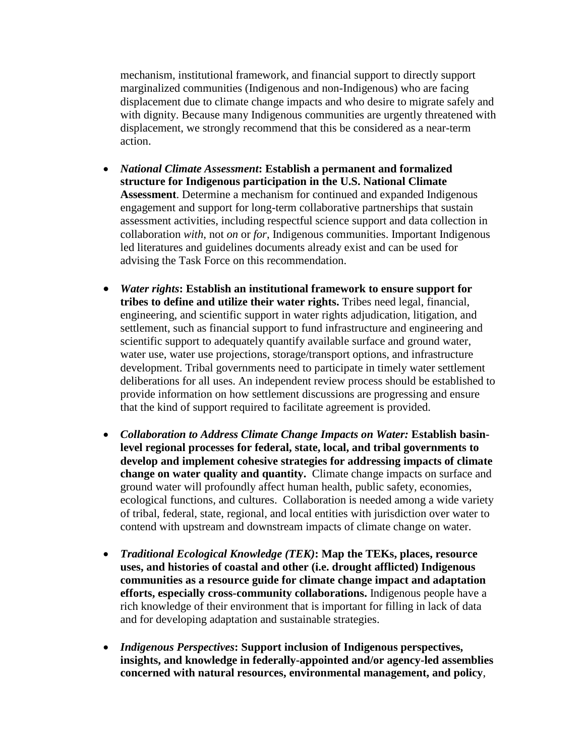mechanism, institutional framework, and financial support to directly support marginalized communities (Indigenous and non-Indigenous) who are facing displacement due to climate change impacts and who desire to migrate safely and with dignity. Because many Indigenous communities are urgently threatened with displacement, we strongly recommend that this be considered as a near-term action.

- *National Climate Assessment***: Establish a permanent and formalized structure for Indigenous participation in the U.S. National Climate Assessment**. Determine a mechanism for continued and expanded Indigenous engagement and support for long-term collaborative partnerships that sustain assessment activities, including respectful science support and data collection in collaboration *with*, not *on* or *for*, Indigenous communities. Important Indigenous led literatures and guidelines documents already exist and can be used for advising the Task Force on this recommendation.
- *Water rights***: Establish an institutional framework to ensure support for tribes to define and utilize their water rights.** Tribes need legal, financial, engineering, and scientific support in water rights adjudication, litigation, and settlement, such as financial support to fund infrastructure and engineering and scientific support to adequately quantify available surface and ground water, water use, water use projections, storage/transport options, and infrastructure development. Tribal governments need to participate in timely water settlement deliberations for all uses. An independent review process should be established to provide information on how settlement discussions are progressing and ensure that the kind of support required to facilitate agreement is provided.
- *Collaboration to Address Climate Change Impacts on Water:* **Establish basinlevel regional processes for federal, state, local, and tribal governments to develop and implement cohesive strategies for addressing impacts of climate change on water quality and quantity.** Climate change impacts on surface and ground water will profoundly affect human health, public safety, economies, ecological functions, and cultures. Collaboration is needed among a wide variety of tribal, federal, state, regional, and local entities with jurisdiction over water to contend with upstream and downstream impacts of climate change on water.
- *Traditional Ecological Knowledge (TEK)***: Map the TEKs, places, resource uses, and histories of coastal and other (i.e. drought afflicted) Indigenous communities as a resource guide for climate change impact and adaptation efforts, especially cross-community collaborations.** Indigenous people have a rich knowledge of their environment that is important for filling in lack of data and for developing adaptation and sustainable strategies.
- *Indigenous Perspectives***: Support inclusion of Indigenous perspectives, insights, and knowledge in federally-appointed and/or agency-led assemblies concerned with natural resources, environmental management, and policy**,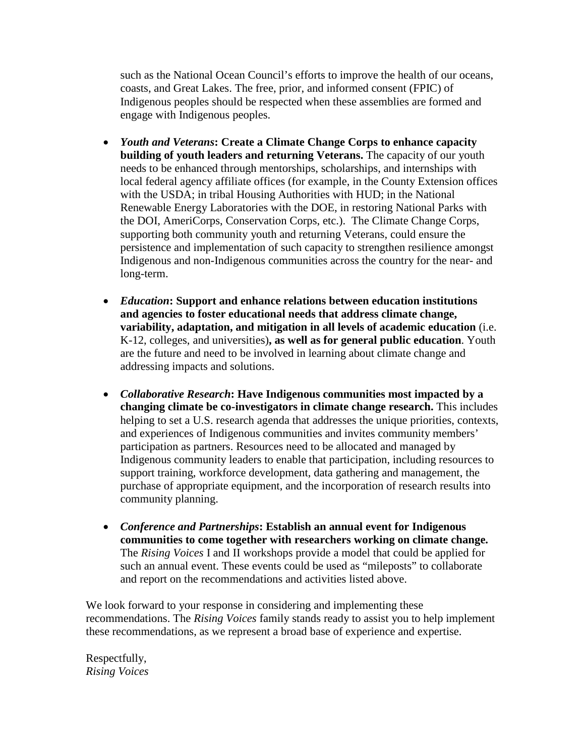such as the National Ocean Council's efforts to improve the health of our oceans, coasts, and Great Lakes. The free, prior, and informed consent (FPIC) of Indigenous peoples should be respected when these assemblies are formed and engage with Indigenous peoples.

- *Youth and Veterans***: Create a Climate Change Corps to enhance capacity building of youth leaders and returning Veterans.** The capacity of our youth needs to be enhanced through mentorships, scholarships, and internships with local federal agency affiliate offices (for example, in the County Extension offices with the USDA; in tribal Housing Authorities with HUD; in the National Renewable Energy Laboratories with the DOE, in restoring National Parks with the DOI, AmeriCorps, Conservation Corps, etc.). The Climate Change Corps, supporting both community youth and returning Veterans, could ensure the persistence and implementation of such capacity to strengthen resilience amongst Indigenous and non-Indigenous communities across the country for the near- and long-term.
- *Education***: Support and enhance relations between education institutions and agencies to foster educational needs that address climate change, variability, adaptation, and mitigation in all levels of academic education** (i.e. K-12, colleges, and universities)**, as well as for general public education**. Youth are the future and need to be involved in learning about climate change and addressing impacts and solutions.
- *Collaborative Research***: Have Indigenous communities most impacted by a changing climate be co-investigators in climate change research.** This includes helping to set a U.S. research agenda that addresses the unique priorities, contexts, and experiences of Indigenous communities and invites community members' participation as partners. Resources need to be allocated and managed by Indigenous community leaders to enable that participation, including resources to support training, workforce development, data gathering and management, the purchase of appropriate equipment, and the incorporation of research results into community planning.
- *Conference and Partnerships***: Establish an annual event for Indigenous communities to come together with researchers working on climate change.** The *Rising Voices* I and II workshops provide a model that could be applied for such an annual event. These events could be used as "mileposts" to collaborate and report on the recommendations and activities listed above.

We look forward to your response in considering and implementing these recommendations. The *Rising Voices* family stands ready to assist you to help implement these recommendations, as we represent a broad base of experience and expertise.

Respectfully, *Rising Voices*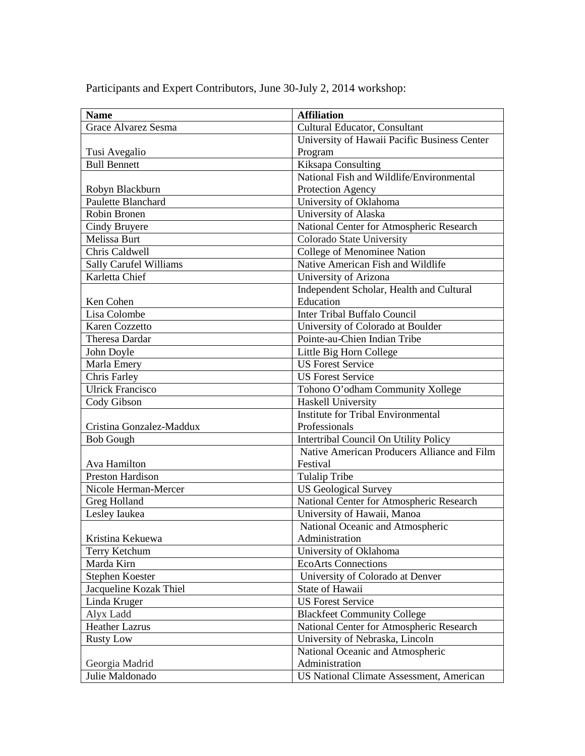Participants and Expert Contributors, June 30-July 2, 2014 workshop:

| <b>Name</b>                   | <b>Affiliation</b>                           |
|-------------------------------|----------------------------------------------|
| Grace Alvarez Sesma           | Cultural Educator, Consultant                |
|                               | University of Hawaii Pacific Business Center |
| Tusi Avegalio                 | Program                                      |
| <b>Bull Bennett</b>           | Kiksapa Consulting                           |
|                               | National Fish and Wildlife/Environmental     |
| Robyn Blackburn               | Protection Agency                            |
| Paulette Blanchard            | University of Oklahoma                       |
| Robin Bronen                  | University of Alaska                         |
| Cindy Bruvere                 | National Center for Atmospheric Research     |
| Melissa Burt                  | Colorado State University                    |
| Chris Caldwell                | College of Menominee Nation                  |
| <b>Sally Carufel Williams</b> | Native American Fish and Wildlife            |
| Karletta Chief                | University of Arizona                        |
|                               | Independent Scholar, Health and Cultural     |
| Ken Cohen                     | Education                                    |
| Lisa Colombe                  | Inter Tribal Buffalo Council                 |
| Karen Cozzetto                | University of Colorado at Boulder            |
| Theresa Dardar                | Pointe-au-Chien Indian Tribe                 |
| John Doyle                    | Little Big Horn College                      |
| Marla Emery                   | <b>US Forest Service</b>                     |
| Chris Farley                  | <b>US Forest Service</b>                     |
| <b>Ulrick Francisco</b>       | Tohono O'odham Community Xollege             |
| Cody Gibson                   | <b>Haskell University</b>                    |
|                               | <b>Institute for Tribal Environmental</b>    |
| Cristina Gonzalez-Maddux      | Professionals                                |
| <b>Bob Gough</b>              | Intertribal Council On Utility Policy        |
|                               | Native American Producers Alliance and Film  |
| Ava Hamilton                  | Festival                                     |
| <b>Preston Hardison</b>       | <b>Tulalip Tribe</b>                         |
| Nicole Herman-Mercer          | <b>US Geological Survey</b>                  |
| Greg Holland                  | National Center for Atmospheric Research     |
| Lesley Iaukea                 | University of Hawaii, Manoa                  |
|                               | National Oceanic and Atmospheric             |
| Kristina Kekuewa              | Administration                               |
| Terry Ketchum                 | University of Oklahoma                       |
| Marda Kirn                    | <b>EcoArts Connections</b>                   |
| Stephen Koester               | University of Colorado at Denver             |
| Jacqueline Kozak Thiel        | State of Hawaii                              |
| Linda Kruger                  | <b>US Forest Service</b>                     |
| Alyx Ladd                     | <b>Blackfeet Community College</b>           |
| <b>Heather Lazrus</b>         | National Center for Atmospheric Research     |
| <b>Rusty Low</b>              | University of Nebraska, Lincoln              |
|                               | National Oceanic and Atmospheric             |
| Georgia Madrid                | Administration                               |
| Julie Maldonado               | US National Climate Assessment, American     |